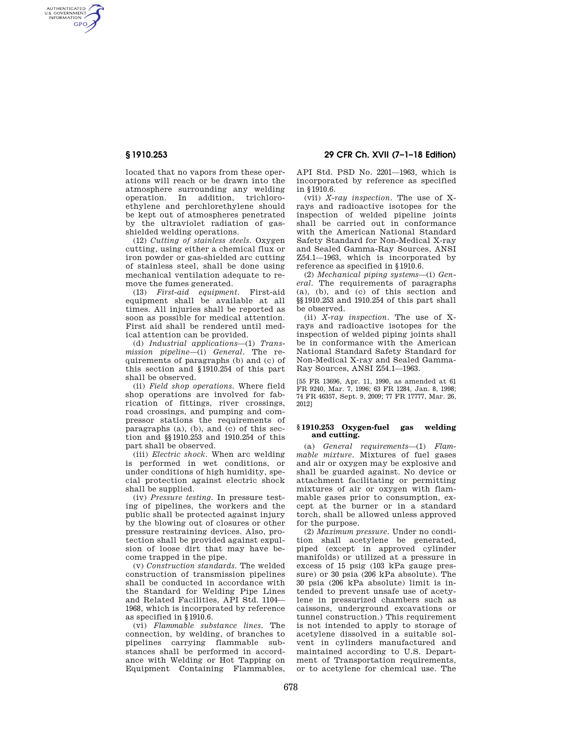AUTHENTICATED<br>U.S. GOVERNMENT<br>INFORMATION **GPO** 

> located that no vapors from these operations will reach or be drawn into the atmosphere surrounding any welding operation. In addition, trichloroethylene and perchlorethylene should be kept out of atmospheres penetrated by the ultraviolet radiation of gasshielded welding operations.

> (12) *Cutting of stainless steels.* Oxygen cutting, using either a chemical flux or iron powder or gas-shielded arc cutting of stainless steel, shall be done using mechanical ventilation adequate to remove the fumes generated.

> (13) *First-aid equipment.* First-aid equipment shall be available at all times. All injuries shall be reported as soon as possible for medical attention. First aid shall be rendered until medical attention can be provided.

> (d) *Industrial applications*—(1) *Transmission pipeline*—(i) *General.* The requirements of paragraphs (b) and (c) of this section and §1910.254 of this part shall be observed.

> (ii) *Field shop operations.* Where field shop operations are involved for fabrication of fittings, river crossings, road crossings, and pumping and compressor stations the requirements of paragraphs (a), (b), and (c) of this section and §§1910.253 and 1910.254 of this part shall be observed.

> (iii) *Electric shock.* When arc welding is performed in wet conditions, or under conditions of high humidity, special protection against electric shock shall be supplied.

> (iv) *Pressure testing.* In pressure testing of pipelines, the workers and the public shall be protected against injury by the blowing out of closures or other pressure restraining devices. Also, protection shall be provided against expulsion of loose dirt that may have become trapped in the pipe.

> (v) *Construction standards.* The welded construction of transmission pipelines shall be conducted in accordance with the Standard for Welding Pipe Lines and Related Facilities, API Std. 1104— 1968, which is incorporated by reference as specified in §1910.6.

> (vi) *Flammable substance lines.* The connection, by welding, of branches to pipelines carrying flammable substances shall be performed in accordance with Welding or Hot Tapping on Equipment Containing Flammables,

**§ 1910.253 29 CFR Ch. XVII (7–1–18 Edition)** 

API Std. PSD No. 2201—1963, which is incorporated by reference as specified in §1910.6.

(vii) *X-ray inspection.* The use of Xrays and radioactive isotopes for the inspection of welded pipeline joints shall be carried out in conformance with the American National Standard Safety Standard for Non-Medical X-ray and Sealed Gamma-Ray Sources, ANSI Z54.1—1963, which is incorporated by reference as specified in §1910.6.

(2) *Mechanical piping systems*—(i) *General.* The requirements of paragraphs (a), (b), and (c) of this section and §§1910.253 and 1910.254 of this part shall be observed.

(ii) *X-ray inspection.* The use of Xrays and radioactive isotopes for the inspection of welded piping joints shall be in conformance with the American National Standard Safety Standard for Non-Medical X-ray and Sealed Gamma-Ray Sources, ANSI Z54.1—1963.

[55 FR 13696, Apr. 11, 1990, as amended at 61 FR 9240, Mar. 7, 1996; 63 FR 1284, Jan. 8, 1998; 74 FR 46357, Sept. 9, 2009; 77 FR 17777, Mar. 26, 2012]

### **§ 1910.253 Oxygen-fuel gas welding and cutting.**

(a) *General requirements*—(1) *Flammable mixture.* Mixtures of fuel gases and air or oxygen may be explosive and shall be guarded against. No device or attachment facilitating or permitting mixtures of air or oxygen with flammable gases prior to consumption, except at the burner or in a standard torch, shall be allowed unless approved for the purpose.

(2) *Maximum pressure.* Under no condition shall acetylene be generated, piped (except in approved cylinder manifolds) or utilized at a pressure in excess of 15 psig (103 kPa gauge pressure) or 30 psia (206 kPa absolute). The 30 psia (206 kPa absolute) limit is intended to prevent unsafe use of acetylene in pressurized chambers such as caissons, underground excavations or tunnel construction.) This requirement is not intended to apply to storage of acetylene dissolved in a suitable solvent in cylinders manufactured and maintained according to U.S. Department of Transportation requirements, or to acetylene for chemical use. The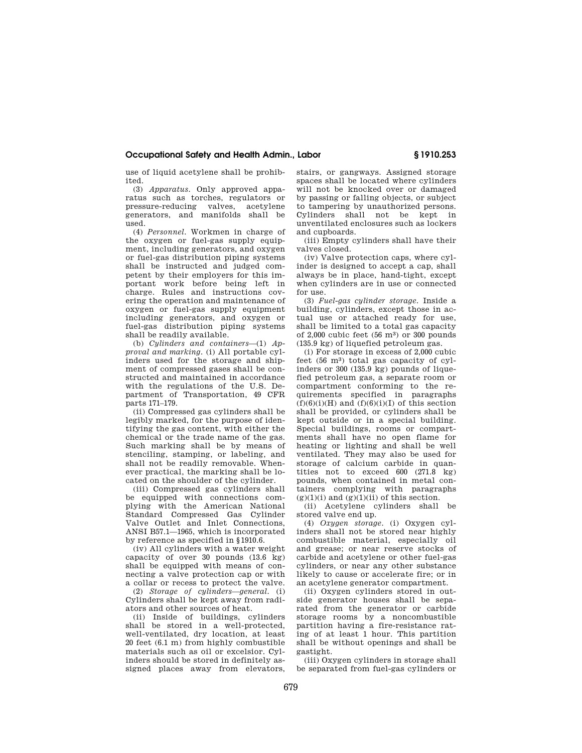use of liquid acetylene shall be prohibited.

(3) *Apparatus.* Only approved apparatus such as torches, regulators or pressure-reducing valves, acetylene generators, and manifolds shall be used.

(4) *Personnel.* Workmen in charge of the oxygen or fuel-gas supply equipment, including generators, and oxygen or fuel-gas distribution piping systems shall be instructed and judged competent by their employers for this important work before being left in charge. Rules and instructions covering the operation and maintenance of oxygen or fuel-gas supply equipment including generators, and oxygen or fuel-gas distribution piping systems shall be readily available.

(b) *Cylinders and containers*—(1) *Approval and marking.* (i) All portable cylinders used for the storage and shipment of compressed gases shall be constructed and maintained in accordance with the regulations of the U.S. Department of Transportation, 49 CFR parts 171–179.

(ii) Compressed gas cylinders shall be legibly marked, for the purpose of identifying the gas content, with either the chemical or the trade name of the gas. Such marking shall be by means of stenciling, stamping, or labeling, and shall not be readily removable. Whenever practical, the marking shall be located on the shoulder of the cylinder.

(iii) Compressed gas cylinders shall be equipped with connections complying with the American National Standard Compressed Gas Cylinder Valve Outlet and Inlet Connections, ANSI B57.1—1965, which is incorporated by reference as specified in §1910.6.

(iv) All cylinders with a water weight capacity of over 30 pounds (13.6 kg) shall be equipped with means of connecting a valve protection cap or with a collar or recess to protect the valve.

(2) *Storage of cylinders—general.* (i) Cylinders shall be kept away from radiators and other sources of heat.

(ii) Inside of buildings, cylinders shall be stored in a well-protected, well-ventilated, dry location, at least 20 feet (6.1 m) from highly combustible materials such as oil or excelsior. Cylinders should be stored in definitely assigned places away from elevators,

stairs, or gangways. Assigned storage spaces shall be located where cylinders will not be knocked over or damaged by passing or falling objects, or subject to tampering by unauthorized persons. Cylinders shall not be kept in unventilated enclosures such as lockers and cupboards.

(iii) Empty cylinders shall have their valves closed.

(iv) Valve protection caps, where cylinder is designed to accept a cap, shall always be in place, hand-tight, except when cylinders are in use or connected for use.

(3) *Fuel-gas cylinder storage.* Inside a building, cylinders, except those in actual use or attached ready for use, shall be limited to a total gas capacity of 2,000 cubic feet  $(56 \text{ m}^3)$  or 300 pounds (135.9 kg) of liquefied petroleum gas.

(i) For storage in excess of 2,000 cubic feet (56 m3) total gas capacity of cylinders or 300 (135.9 kg) pounds of liquefied petroleum gas, a separate room or compartment conforming to the requirements specified in paragraphs (f)(6)(i)(H) and (f)(6)(i)(I) of this section shall be provided, or cylinders shall be kept outside or in a special building. Special buildings, rooms or compartments shall have no open flame for heating or lighting and shall be well ventilated. They may also be used for storage of calcium carbide in quantities not to exceed 600 (271.8 kg) pounds, when contained in metal containers complying with paragraphs  $(g)(1)(i)$  and  $(g)(1)(ii)$  of this section.

(ii) Acetylene cylinders shall be stored valve end up.

(4) *Oxygen storage.* (i) Oxygen cylinders shall not be stored near highly combustible material, especially oil and grease; or near reserve stocks of carbide and acetylene or other fuel-gas cylinders, or near any other substance likely to cause or accelerate fire; or in an acetylene generator compartment.

(ii) Oxygen cylinders stored in outside generator houses shall be separated from the generator or carbide storage rooms by a noncombustible partition having a fire-resistance rating of at least 1 hour. This partition shall be without openings and shall be gastight.

(iii) Oxygen cylinders in storage shall be separated from fuel-gas cylinders or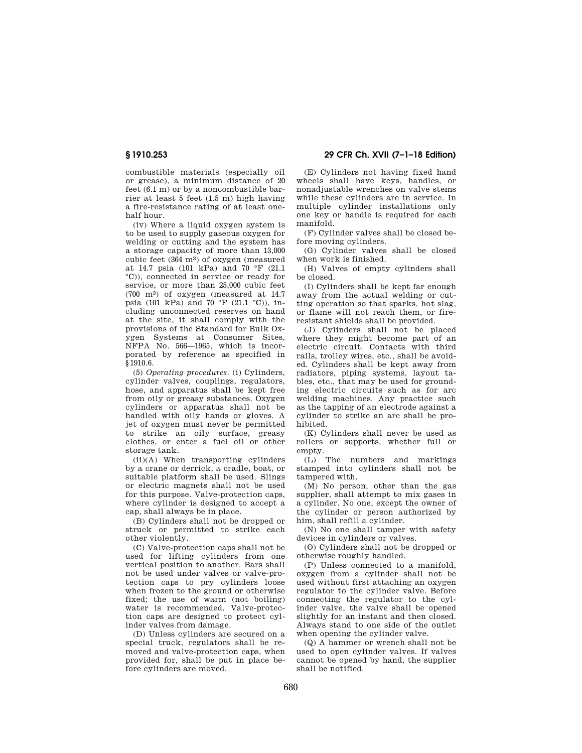combustible materials (especially oil or grease), a minimum distance of 20 feet (6.1 m) or by a noncombustible barrier at least 5 feet (1.5 m) high having a fire-resistance rating of at least onehalf hour.

(iv) Where a liquid oxygen system is to be used to supply gaseous oxygen for welding or cutting and the system has a storage capacity of more than 13,000 cubic feet (364 m3) of oxygen (measured at 14.7 psia (101 kPa) and 70 °F (21.1 °C)), connected in service or ready for service, or more than 25,000 cubic feet (700 m3) of oxygen (measured at 14.7 psia (101 kPa) and 70 °F (21.1 °C)), including unconnected reserves on hand at the site, it shall comply with the provisions of the Standard for Bulk Oxygen Systems at Consumer Sites, NFPA No. 566—1965, which is incorporated by reference as specified in §1910.6.

(5) *Operating procedures.* (i) Cylinders, cylinder valves, couplings, regulators, hose, and apparatus shall be kept free from oily or greasy substances. Oxygen cylinders or apparatus shall not be handled with oily hands or gloves. A jet of oxygen must never be permitted to strike an oily surface, greasy clothes, or enter a fuel oil or other storage tank.

(ii)(A) When transporting cylinders by a crane or derrick, a cradle, boat, or suitable platform shall be used. Slings or electric magnets shall not be used for this purpose. Valve-protection caps, where cylinder is designed to accept a cap, shall always be in place.

(B) Cylinders shall not be dropped or struck or permitted to strike each other violently.

(C) Valve-protection caps shall not be used for lifting cylinders from one vertical position to another. Bars shall not be used under valves or valve-protection caps to pry cylinders loose when frozen to the ground or otherwise fixed; the use of warm (not boiling) water is recommended. Valve-protection caps are designed to protect cylinder valves from damage.

(D) Unless cylinders are secured on a special truck, regulators shall be removed and valve-protection caps, when provided for, shall be put in place before cylinders are moved.

**§ 1910.253 29 CFR Ch. XVII (7–1–18 Edition)** 

(E) Cylinders not having fixed hand wheels shall have keys, handles, or nonadjustable wrenches on valve stems while these cylinders are in service. In multiple cylinder installations only one key or handle is required for each manifold.

(F) Cylinder valves shall be closed before moving cylinders.

(G) Cylinder valves shall be closed when work is finished.

(H) Valves of empty cylinders shall be closed.

(I) Cylinders shall be kept far enough away from the actual welding or cutting operation so that sparks, hot slag, or flame will not reach them, or fireresistant shields shall be provided.

(J) Cylinders shall not be placed where they might become part of an electric circuit. Contacts with third rails, trolley wires, etc., shall be avoided. Cylinders shall be kept away from radiators, piping systems, layout tables, etc., that may be used for grounding electric circuits such as for arc welding machines. Any practice such as the tapping of an electrode against a cylinder to strike an arc shall be prohibited.

(K) Cylinders shall never be used as rollers or supports, whether full or empty.

(L) The numbers and markings stamped into cylinders shall not be tampered with.

(M) No person, other than the gas supplier, shall attempt to mix gases in a cylinder. No one, except the owner of the cylinder or person authorized by him, shall refill a cylinder.

(N) No one shall tamper with safety devices in cylinders or valves.

(O) Cylinders shall not be dropped or otherwise roughly handled.

(P) Unless connected to a manifold, oxygen from a cylinder shall not be used without first attaching an oxygen regulator to the cylinder valve. Before connecting the regulator to the cylinder valve, the valve shall be opened slightly for an instant and then closed. Always stand to one side of the outlet when opening the cylinder valve.

(Q) A hammer or wrench shall not be used to open cylinder valves. If valves cannot be opened by hand, the supplier shall be notified.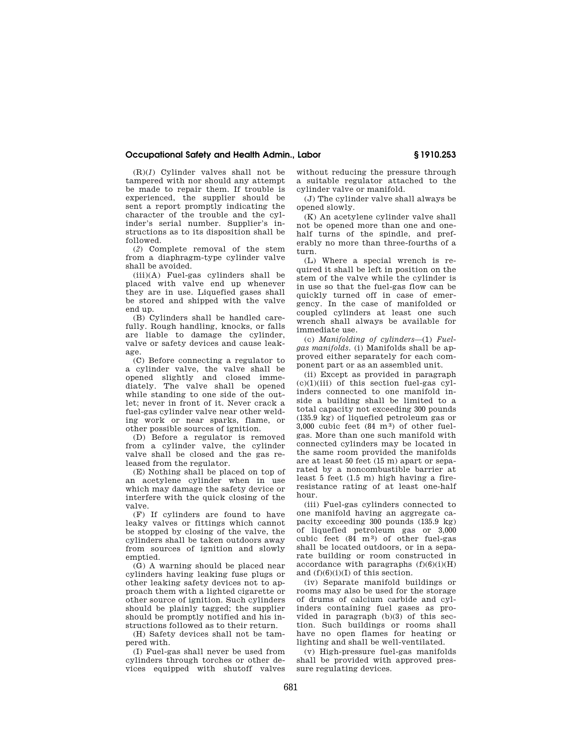(R)(*1*) Cylinder valves shall not be tampered with nor should any attempt be made to repair them. If trouble is experienced, the supplier should be sent a report promptly indicating the character of the trouble and the cylinder's serial number. Supplier's instructions as to its disposition shall be followed.

(*2*) Complete removal of the stem from a diaphragm-type cylinder valve shall be avoided.

(iii)(A) Fuel-gas cylinders shall be placed with valve end up whenever they are in use. Liquefied gases shall be stored and shipped with the valve end up.

(B) Cylinders shall be handled carefully. Rough handling, knocks, or falls are liable to damage the cylinder, valve or safety devices and cause leakage.

(C) Before connecting a regulator to a cylinder valve, the valve shall be opened slightly and closed immediately. The valve shall be opened while standing to one side of the outlet; never in front of it. Never crack a fuel-gas cylinder valve near other welding work or near sparks, flame, or other possible sources of ignition.

(D) Before a regulator is removed from a cylinder valve, the cylinder valve shall be closed and the gas released from the regulator.

(E) Nothing shall be placed on top of an acetylene cylinder when in use which may damage the safety device or interfere with the quick closing of the valve.

(F) If cylinders are found to have leaky valves or fittings which cannot be stopped by closing of the valve, the cylinders shall be taken outdoors away from sources of ignition and slowly emptied.

(G) A warning should be placed near cylinders having leaking fuse plugs or other leaking safety devices not to approach them with a lighted cigarette or other source of ignition. Such cylinders should be plainly tagged; the supplier should be promptly notified and his instructions followed as to their return.

(H) Safety devices shall not be tampered with.

(I) Fuel-gas shall never be used from cylinders through torches or other devices equipped with shutoff valves without reducing the pressure through a suitable regulator attached to the cylinder valve or manifold.

(J) The cylinder valve shall always be opened slowly.

(K) An acetylene cylinder valve shall not be opened more than one and onehalf turns of the spindle, and preferably no more than three-fourths of a turn.

(L) Where a special wrench is required it shall be left in position on the stem of the valve while the cylinder is in use so that the fuel-gas flow can be quickly turned off in case of emergency. In the case of manifolded or coupled cylinders at least one such wrench shall always be available for immediate use.

(c) *Manifolding of cylinders*—(1) *Fuelgas manifolds.* (i) Manifolds shall be approved either separately for each component part or as an assembled unit.

(ii) Except as provided in paragraph  $(c)(1)(iii)$  of this section fuel-gas cylinders connected to one manifold inside a building shall be limited to a total capacity not exceeding 300 pounds (135.9 kg) of liquefied petroleum gas or 3,000 cubic feet (84 m3) of other fuelgas. More than one such manifold with connected cylinders may be located in the same room provided the manifolds are at least 50 feet (15 m) apart or separated by a noncombustible barrier at least 5 feet (1.5 m) high having a fireresistance rating of at least one-half hour.

(iii) Fuel-gas cylinders connected to one manifold having an aggregate capacity exceeding 300 pounds (135.9 kg) of liquefied petroleum gas or 3,000 cubic feet (84 m3) of other fuel-gas shall be located outdoors, or in a separate building or room constructed in accordance with paragraphs  $(f)(6)(i)(H)$ and (f)(6)(i)(I) of this section.

(iv) Separate manifold buildings or rooms may also be used for the storage of drums of calcium carbide and cylinders containing fuel gases as provided in paragraph (b)(3) of this section. Such buildings or rooms shall have no open flames for heating or lighting and shall be well-ventilated.

(v) High-pressure fuel-gas manifolds shall be provided with approved pressure regulating devices.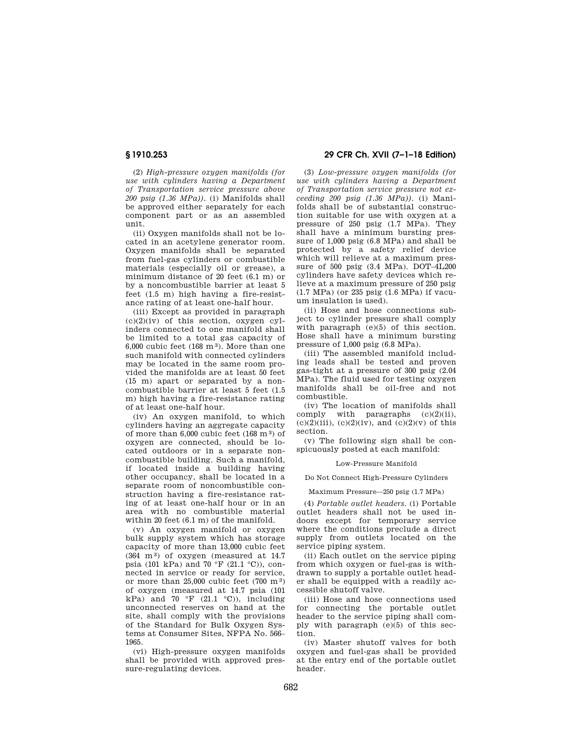(2) *High-pressure oxygen manifolds (for use with cylinders having a Department of Transportation service pressure above 200 psig (1.36 MPa)).* (i) Manifolds shall be approved either separately for each component part or as an assembled unit.

(ii) Oxygen manifolds shall not be located in an acetylene generator room. Oxygen manifolds shall be separated from fuel-gas cylinders or combustible materials (especially oil or grease), a minimum distance of 20 feet (6.1 m) or by a noncombustible barrier at least 5 feet (1.5 m) high having a fire-resistance rating of at least one-half hour.

(iii) Except as provided in paragraph  $(c)(2)(iv)$  of this section, oxygen cylinders connected to one manifold shall be limited to a total gas capacity of 6,000 cubic feet  $(168 \text{ m}^3)$ . More than one such manifold with connected cylinders may be located in the same room provided the manifolds are at least 50 feet (15 m) apart or separated by a noncombustible barrier at least 5 feet (1.5 m) high having a fire-resistance rating of at least one-half hour.

(iv) An oxygen manifold, to which cylinders having an aggregate capacity of more than 6,000 cubic feet (168 m3) of oxygen are connected, should be located outdoors or in a separate noncombustible building. Such a manifold, if located inside a building having other occupancy, shall be located in a separate room of noncombustible construction having a fire-resistance rating of at least one-half hour or in an area with no combustible material within 20 feet (6.1 m) of the manifold.

(v) An oxygen manifold or oxygen bulk supply system which has storage capacity of more than 13,000 cubic feet (364 m3) of oxygen (measured at 14.7 psia (101 kPa) and 70 °F (21.1 °C)), connected in service or ready for service, or more than 25,000 cubic feet (700 m3) of oxygen (measured at 14.7 psia (101 kPa) and 70 °F (21.1 °C)), including unconnected reserves on hand at the site, shall comply with the provisions of the Standard for Bulk Oxygen Systems at Consumer Sites, NFPA No. 566– 1965.

(vi) High-pressure oxygen manifolds shall be provided with approved pressure-regulating devices.

# **§ 1910.253 29 CFR Ch. XVII (7–1–18 Edition)**

(3) *Low-pressure oxygen manifolds (for use with cylinders having a Department of Transportation service pressure not exceeding 200 psig (1.36 MPa)).* (i) Manifolds shall be of substantial construction suitable for use with oxygen at a pressure of 250 psig (1.7 MPa). They shall have a minimum bursting pressure of 1,000 psig (6.8 MPa) and shall be protected by a safety relief device which will relieve at a maximum pressure of 500 psig (3.4 MPa). DOT–4L200 cylinders have safety devices which relieve at a maximum pressure of 250 psig (1.7 MPa) (or 235 psig (1.6 MPa) if vacuum insulation is used).

(ii) Hose and hose connections subject to cylinder pressure shall comply with paragraph (e)(5) of this section. Hose shall have a minimum bursting pressure of 1,000 psig (6.8 MPa).

(iii) The assembled manifold including leads shall be tested and proven gas-tight at a pressure of 300 psig (2.04 MPa). The fluid used for testing oxygen manifolds shall be oil-free and not combustible.

(iv) The location of manifolds shall comply with paragraphs  $(c)(2)(ii)$ ,  $(c)(2)(iii)$ ,  $(c)(2)(iv)$ , and  $(c)(2)(v)$  of this section.

(v) The following sign shall be conspicuously posted at each manifold:

### Low-Pressure Manifold

Do Not Connect High-Pressure Cylinders

### Maximum Pressure—250 psig (1.7 MPa)

(4) *Portable outlet headers.* (i) Portable outlet headers shall not be used indoors except for temporary service where the conditions preclude a direct supply from outlets located on the service piping system.

(ii) Each outlet on the service piping from which oxygen or fuel-gas is withdrawn to supply a portable outlet header shall be equipped with a readily accessible shutoff valve.

(iii) Hose and hose connections used for connecting the portable outlet header to the service piping shall comply with paragraph (e)(5) of this section.

(iv) Master shutoff valves for both oxygen and fuel-gas shall be provided at the entry end of the portable outlet header.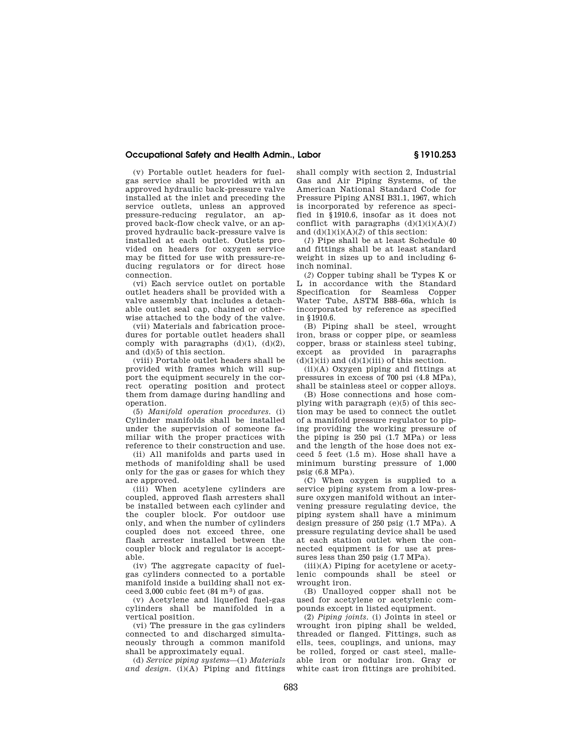(v) Portable outlet headers for fuelgas service shall be provided with an approved hydraulic back-pressure valve installed at the inlet and preceding the service outlets, unless an approved pressure-reducing regulator, an approved back-flow check valve, or an approved hydraulic back-pressure valve is installed at each outlet. Outlets provided on headers for oxygen service may be fitted for use with pressure-reducing regulators or for direct hose connection.

(vi) Each service outlet on portable outlet headers shall be provided with a valve assembly that includes a detachable outlet seal cap, chained or otherwise attached to the body of the valve.

(vii) Materials and fabrication procedures for portable outlet headers shall comply with paragraphs  $(d)(1)$ ,  $(d)(2)$ , and (d)(5) of this section.

(viii) Portable outlet headers shall be provided with frames which will support the equipment securely in the correct operating position and protect them from damage during handling and operation.

(5) *Manifold operation procedures.* (i) Cylinder manifolds shall be installed under the supervision of someone familiar with the proper practices with reference to their construction and use.

(ii) All manifolds and parts used in methods of manifolding shall be used only for the gas or gases for which they are approved.

(iii) When acetylene cylinders are coupled, approved flash arresters shall be installed between each cylinder and the coupler block. For outdoor use only, and when the number of cylinders coupled does not exceed three, one flash arrester installed between the coupler block and regulator is acceptable.

(iv) The aggregate capacity of fuelgas cylinders connected to a portable manifold inside a building shall not exceed 3,000 cubic feet  $(84 \text{ m}^3)$  of gas.

(v) Acetylene and liquefied fuel-gas cylinders shall be manifolded in a vertical position.

(vi) The pressure in the gas cylinders connected to and discharged simultaneously through a common manifold shall be approximately equal.

(d) *Service piping systems*—(1) *Materials and design.* (i)(A) Piping and fittings shall comply with section 2, Industrial Gas and Air Piping Systems, of the American National Standard Code for Pressure Piping ANSI B31.1, 1967, which is incorporated by reference as specified in §1910.6, insofar as it does not conflict with paragraphs  $(d)(1)(i)(A)(I)$ and  $(d)(1)(i)(A)(2)$  of this section:

(*1*) Pipe shall be at least Schedule 40 and fittings shall be at least standard weight in sizes up to and including 6 inch nominal.

(*2*) Copper tubing shall be Types K or L in accordance with the Standard Specification for Seamless Copper Water Tube, ASTM B88–66a, which is incorporated by reference as specified in §1910.6.

(B) Piping shall be steel, wrought iron, brass or copper pipe, or seamless copper, brass or stainless steel tubing, except as provided in paragraphs  $(d)(1)(ii)$  and  $(d)(1)(iii)$  of this section.

(ii)(A) Oxygen piping and fittings at pressures in excess of 700 psi (4.8 MPa), shall be stainless steel or copper alloys.

(B) Hose connections and hose complying with paragraph (e)(5) of this section may be used to connect the outlet of a manifold pressure regulator to piping providing the working pressure of the piping is 250 psi (1.7 MPa) or less and the length of the hose does not exceed 5 feet (1.5 m). Hose shall have a minimum bursting pressure of 1,000 psig (6.8 MPa).

 $(C)$  When oxygen is supplied to a service piping system from a low-pressure oxygen manifold without an intervening pressure regulating device, the piping system shall have a minimum design pressure of 250 psig (1.7 MPa). A pressure regulating device shall be used at each station outlet when the connected equipment is for use at pressures less than 250 psig (1.7 MPa).

 $(iii)(A)$  Piping for acetylene or acetylenic compounds shall be steel or wrought iron.

(B) Unalloyed copper shall not be used for acetylene or acetylenic compounds except in listed equipment.

(2) *Piping joints.* (i) Joints in steel or wrought iron piping shall be welded, threaded or flanged. Fittings, such as ells, tees, couplings, and unions, may be rolled, forged or cast steel, malleable iron or nodular iron. Gray or white cast iron fittings are prohibited.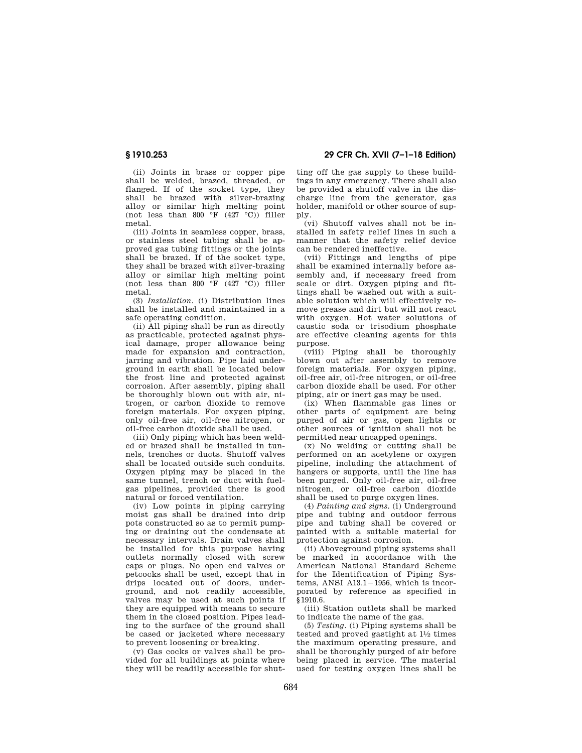(ii) Joints in brass or copper pipe shall be welded, brazed, threaded, or flanged. If of the socket type, they shall be brazed with silver-brazing alloy or similar high melting point (not less than 800  $\overline{P}$  (427 °C)) filler metal.

(iii) Joints in seamless copper, brass, or stainless steel tubing shall be approved gas tubing fittings or the joints shall be brazed. If of the socket type, they shall be brazed with silver-brazing alloy or similar high melting point (not less than 800 °F (427 °C)) filler metal.

(3) *Installation.* (i) Distribution lines shall be installed and maintained in a safe operating condition.

(ii) All piping shall be run as directly as practicable, protected against physical damage, proper allowance being made for expansion and contraction, jarring and vibration. Pipe laid underground in earth shall be located below the frost line and protected against corrosion. After assembly, piping shall be thoroughly blown out with air, nitrogen, or carbon dioxide to remove foreign materials. For oxygen piping, only oil-free air, oil-free nitrogen, or oil-free carbon dioxide shall be used.

(iii) Only piping which has been welded or brazed shall be installed in tunnels, trenches or ducts. Shutoff valves shall be located outside such conduits. Oxygen piping may be placed in the same tunnel, trench or duct with fuelgas pipelines, provided there is good natural or forced ventilation.

(iv) Low points in piping carrying moist gas shall be drained into drip pots constructed so as to permit pumping or draining out the condensate at necessary intervals. Drain valves shall be installed for this purpose having outlets normally closed with screw caps or plugs. No open end valves or petcocks shall be used, except that in drips located out of doors, underground, and not readily accessible, valves may be used at such points if they are equipped with means to secure them in the closed position. Pipes leading to the surface of the ground shall be cased or jacketed where necessary to prevent loosening or breaking.

(v) Gas cocks or valves shall be provided for all buildings at points where they will be readily accessible for shut-

**§ 1910.253 29 CFR Ch. XVII (7–1–18 Edition)** 

ting off the gas supply to these buildings in any emergency. There shall also be provided a shutoff valve in the discharge line from the generator, gas holder, manifold or other source of supply.

(vi) Shutoff valves shall not be installed in safety relief lines in such a manner that the safety relief device can be rendered ineffective.

(vii) Fittings and lengths of pipe shall be examined internally before assembly and, if necessary freed from scale or dirt. Oxygen piping and fittings shall be washed out with a suitable solution which will effectively remove grease and dirt but will not react with oxygen. Hot water solutions of caustic soda or trisodium phosphate are effective cleaning agents for this purpose.

(viii) Piping shall be thoroughly blown out after assembly to remove foreign materials. For oxygen piping, oil-free air, oil-free nitrogen, or oil-free carbon dioxide shall be used. For other piping, air or inert gas may be used.

(ix) When flammable gas lines or other parts of equipment are being purged of air or gas, open lights or other sources of ignition shall not be permitted near uncapped openings.

(x) No welding or cutting shall be performed on an acetylene or oxygen pipeline, including the attachment of hangers or supports, until the line has been purged. Only oil-free air, oil-free nitrogen, or oil-free carbon dioxide shall be used to purge oxygen lines.

(4) *Painting and signs.* (i) Underground pipe and tubing and outdoor ferrous pipe and tubing shall be covered or painted with a suitable material for protection against corrosion.

(ii) Aboveground piping systems shall be marked in accordance with the American National Standard Scheme for the Identification of Piping Systems, ANSI  $A13.1 - 1956$ , which is incorporated by reference as specified in §1910.6.

(iii) Station outlets shall be marked to indicate the name of the gas.

(5) *Testing.* (i) Piping systems shall be tested and proved gastight at  $1\frac{1}{2}$  times the maximum operating pressure, and shall be thoroughly purged of air before being placed in service. The material used for testing oxygen lines shall be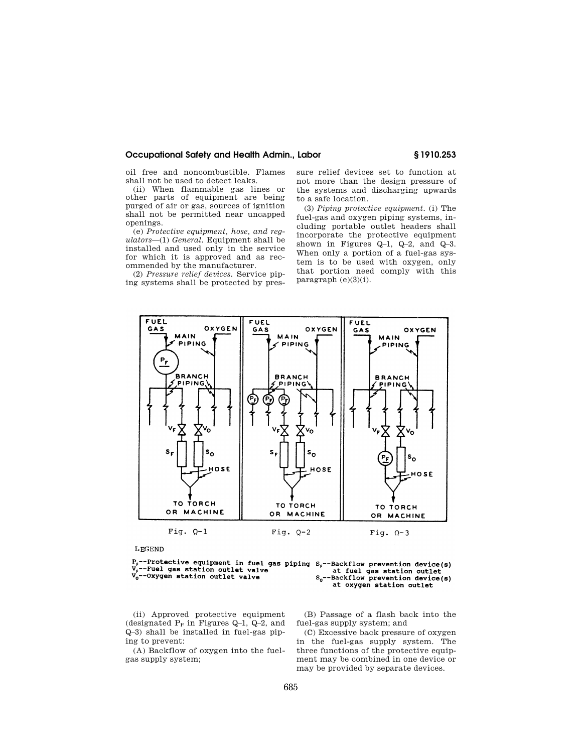oil free and noncombustible. Flames shall not be used to detect leaks.

(ii) When flammable gas lines or other parts of equipment are being purged of air or gas, sources of ignition shall not be permitted near uncapped openings.

(e) *Protective equipment, hose, and regulators*—(1) *General.* Equipment shall be installed and used only in the service for which it is approved and as recommended by the manufacturer.

(2) *Pressure relief devices.* Service piping systems shall be protected by pressure relief devices set to function at not more than the design pressure of the systems and discharging upwards to a safe location.

(3) *Piping protective equipment.* (i) The fuel-gas and oxygen piping systems, including portable outlet headers shall incorporate the protective equipment shown in Figures Q–1, Q–2, and Q–3. When only a portion of a fuel-gas system is to be used with oxygen, only that portion need comply with this paragraph (e)(3)(i).



**LEGEND** 

--Protective equipment in fuel gas piping S<sub>F</sub>--Backflow prevention device(s) --Fuel gas station outlet valve V<sub>0</sub>--Oxygen station outlet valve



(ii) Approved protective equipment (designated  $P_F$  in Figures Q-1, Q-2, and Q–3) shall be installed in fuel-gas piping to prevent:

(A) Backflow of oxygen into the fuelgas supply system;

(B) Passage of a flash back into the fuel-gas supply system; and

(C) Excessive back pressure of oxygen in the fuel-gas supply system. The three functions of the protective equipment may be combined in one device or may be provided by separate devices.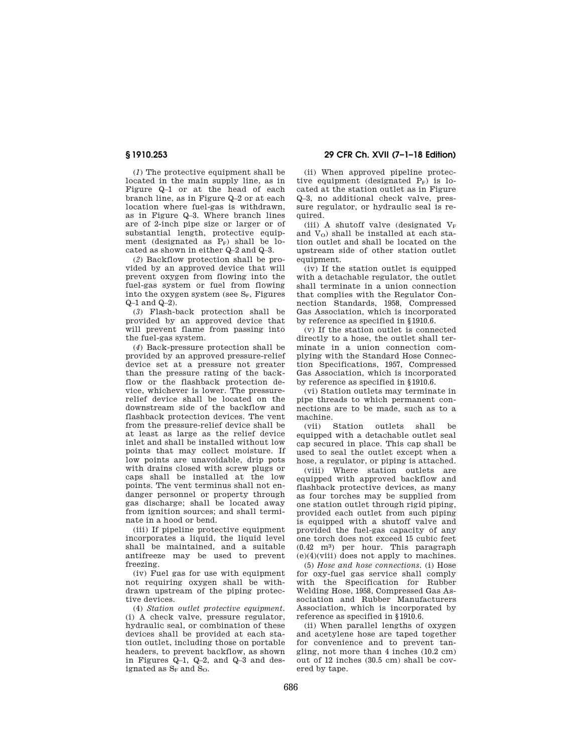(*1*) The protective equipment shall be located in the main supply line, as in Figure Q–1 or at the head of each branch line, as in Figure Q–2 or at each location where fuel-gas is withdrawn, as in Figure Q–3. Where branch lines are of 2-inch pipe size or larger or of substantial length, protective equipment (designated as  $P_F$ ) shall be located as shown in either Q–2 and Q–3.

(*2*) Backflow protection shall be provided by an approved device that will prevent oxygen from flowing into the fuel-gas system or fuel from flowing into the oxygen system (see  $S_F$ , Figures Q–1 and Q–2).

(*3*) Flash-back protection shall be provided by an approved device that will prevent flame from passing into the fuel-gas system.

(*4*) Back-pressure protection shall be provided by an approved pressure-relief device set at a pressure not greater than the pressure rating of the backflow or the flashback protection device, whichever is lower. The pressurerelief device shall be located on the downstream side of the backflow and flashback protection devices. The vent from the pressure-relief device shall be at least as large as the relief device inlet and shall be installed without low points that may collect moisture. If low points are unavoidable, drip pots with drains closed with screw plugs or caps shall be installed at the low points. The vent terminus shall not endanger personnel or property through gas discharge; shall be located away from ignition sources; and shall terminate in a hood or bend.

(iii) If pipeline protective equipment incorporates a liquid, the liquid level shall be maintained, and a suitable antifreeze may be used to prevent freezing.

(iv) Fuel gas for use with equipment not requiring oxygen shall be withdrawn upstream of the piping protective devices.

(4) *Station outlet protective equipment.*  (i) A check valve, pressure regulator, hydraulic seal, or combination of these devices shall be provided at each station outlet, including those on portable headers, to prevent backflow, as shown in Figures Q–1, Q–2, and Q–3 and designated as S<sub>F</sub> and S<sub>o</sub>.

**§ 1910.253 29 CFR Ch. XVII (7–1–18 Edition)** 

(ii) When approved pipeline protective equipment (designated  $P_F$ ) is located at the station outlet as in Figure Q–3, no additional check valve, pressure regulator, or hydraulic seal is required.

(iii) A shutoff valve (designated  $V_F$ and  $V<sub>O</sub>$ ) shall be installed at each station outlet and shall be located on the upstream side of other station outlet equipment.

(iv) If the station outlet is equipped with a detachable regulator, the outlet shall terminate in a union connection that complies with the Regulator Connection Standards, 1958, Compressed Gas Association, which is incorporated by reference as specified in §1910.6.

(v) If the station outlet is connected directly to a hose, the outlet shall terminate in a union connection complying with the Standard Hose Connection Specifications, 1957, Compressed Gas Association, which is incorporated by reference as specified in §1910.6.

(vi) Station outlets may terminate in pipe threads to which permanent connections are to be made, such as to a machine.

(vii) Station outlets shall be equipped with a detachable outlet seal cap secured in place. This cap shall be used to seal the outlet except when a hose, a regulator, or piping is attached.

(viii) Where station outlets are equipped with approved backflow and flashback protective devices, as many as four torches may be supplied from one station outlet through rigid piping, provided each outlet from such piping is equipped with a shutoff valve and provided the fuel-gas capacity of any one torch does not exceed 15 cubic feet (0.42 m3) per hour. This paragraph (e)(4)(viii) does not apply to machines.

(5) *Hose and hose connections.* (i) Hose for oxy-fuel gas service shall comply with the Specification for Rubber Welding Hose, 1958, Compressed Gas Association and Rubber Manufacturers Association, which is incorporated by reference as specified in §1910.6.

(ii) When parallel lengths of oxygen and acetylene hose are taped together for convenience and to prevent tangling, not more than 4 inches (10.2 cm) out of 12 inches (30.5 cm) shall be covered by tape.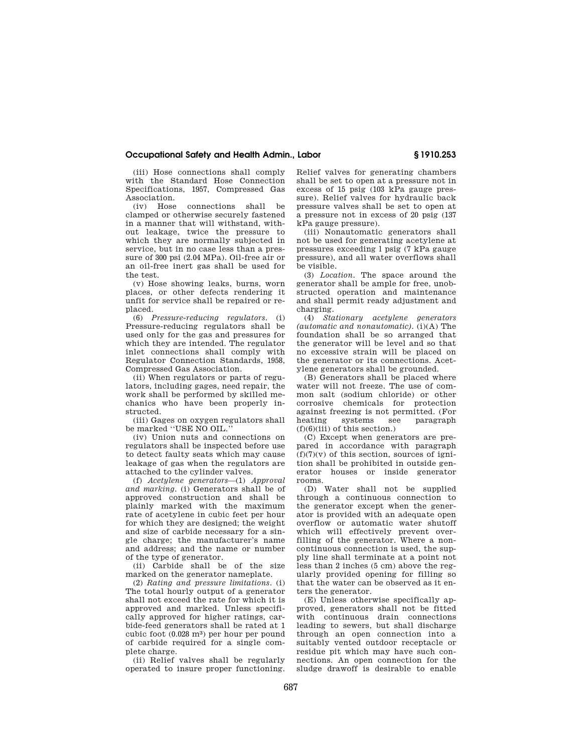(iii) Hose connections shall comply with the Standard Hose Connection Specifications, 1957, Compressed Gas Association.<br>(iv) Hose

connections shall be clamped or otherwise securely fastened in a manner that will withstand, without leakage, twice the pressure to which they are normally subjected in service, but in no case less than a pressure of 300 psi (2.04 MPa). Oil-free air or an oil-free inert gas shall be used for the test.

(v) Hose showing leaks, burns, worn places, or other defects rendering it unfit for service shall be repaired or replaced.

(6) *Pressure-reducing regulators.* (i) Pressure-reducing regulators shall be used only for the gas and pressures for which they are intended. The regulator inlet connections shall comply with Regulator Connection Standards, 1958, Compressed Gas Association.

(ii) When regulators or parts of regulators, including gages, need repair, the work shall be performed by skilled mechanics who have been properly instructed.

(iii) Gages on oxygen regulators shall be marked ''USE NO OIL.''

(iv) Union nuts and connections on regulators shall be inspected before use to detect faulty seats which may cause leakage of gas when the regulators are attached to the cylinder valves.

(f) *Acetylene generators*—(1) *Approval and marking.* (i) Generators shall be of approved construction and shall be plainly marked with the maximum rate of acetylene in cubic feet per hour for which they are designed; the weight and size of carbide necessary for a single charge; the manufacturer's name and address; and the name or number of the type of generator.

(ii) Carbide shall be of the size marked on the generator nameplate.

(2) *Rating and pressure limitations.* (i) The total hourly output of a generator shall not exceed the rate for which it is approved and marked. Unless specifically approved for higher ratings, carbide-feed generators shall be rated at 1 cubic foot (0.028 m3) per hour per pound of carbide required for a single complete charge.

(ii) Relief valves shall be regularly operated to insure proper functioning. Relief valves for generating chambers shall be set to open at a pressure not in excess of 15 psig (103  $k\overline{P}a$  gauge pressure). Relief valves for hydraulic back pressure valves shall be set to open at a pressure not in excess of 20 psig (137 kPa gauge pressure).

(iii) Nonautomatic generators shall not be used for generating acetylene at pressures exceeding l psig (7 kPa gauge pressure), and all water overflows shall be visible.

(3) *Location.* The space around the generator shall be ample for free, unobstructed operation and maintenance and shall permit ready adjustment and charging.

(4) *Stationary acetylene generators (automatic and nonautomatic).* (i)(A) The foundation shall be so arranged that the generator will be level and so that no excessive strain will be placed on the generator or its connections. Acetylene generators shall be grounded.

(B) Generators shall be placed where water will not freeze. The use of common salt (sodium chloride) or other corrosive chemicals for protection against freezing is not permitted. (For heating systems see paragraph  $(f)(6)(iii)$  of this section.)

(C) Except when generators are prepared in accordance with paragraph  $(f)(7)(v)$  of this section, sources of ignition shall be prohibited in outside generator houses or inside generator rooms.

(D) Water shall not be supplied through a continuous connection to the generator except when the generator is provided with an adequate open overflow or automatic water shutoff which will effectively prevent overfilling of the generator. Where a noncontinuous connection is used, the supply line shall terminate at a point not less than 2 inches (5 cm) above the regularly provided opening for filling so that the water can be observed as it enters the generator.

(E) Unless otherwise specifically approved, generators shall not be fitted with continuous drain connections leading to sewers, but shall discharge through an open connection into a suitably vented outdoor receptacle or residue pit which may have such connections. An open connection for the sludge drawoff is desirable to enable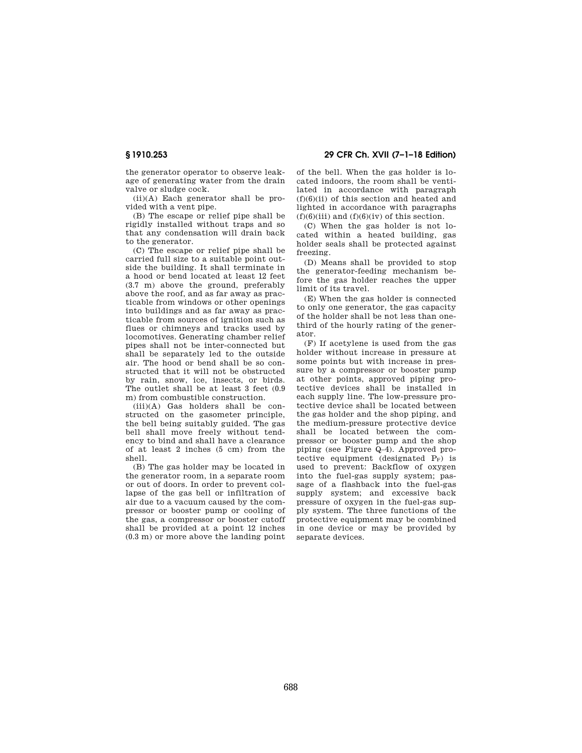the generator operator to observe leakage of generating water from the drain valve or sludge cock.

(ii)(A) Each generator shall be provided with a vent pipe.

(B) The escape or relief pipe shall be rigidly installed without traps and so that any condensation will drain back to the generator.

(C) The escape or relief pipe shall be carried full size to a suitable point outside the building. It shall terminate in a hood or bend located at least 12 feet (3.7 m) above the ground, preferably above the roof, and as far away as practicable from windows or other openings into buildings and as far away as practicable from sources of ignition such as flues or chimneys and tracks used by locomotives. Generating chamber relief pipes shall not be inter-connected but shall be separately led to the outside air. The hood or bend shall be so constructed that it will not be obstructed by rain, snow, ice, insects, or birds. The outlet shall be at least 3 feet (0.9 m) from combustible construction.

 $(iii)(A)$  Gas holders shall be constructed on the gasometer principle, the bell being suitably guided. The gas bell shall move freely without tendency to bind and shall have a clearance of at least 2 inches (5 cm) from the shell.

(B) The gas holder may be located in the generator room, in a separate room or out of doors. In order to prevent collapse of the gas bell or infiltration of air due to a vacuum caused by the compressor or booster pump or cooling of the gas, a compressor or booster cutoff shall be provided at a point 12 inches (0.3 m) or more above the landing point

## **§ 1910.253 29 CFR Ch. XVII (7–1–18 Edition)**

of the bell. When the gas holder is located indoors, the room shall be ventilated in accordance with paragraph  $(f)(6)(ii)$  of this section and heated and lighted in accordance with paragraphs  $(f)(6)(iii)$  and  $(f)(6)(iv)$  of this section.

(C) When the gas holder is not located within a heated building, gas holder seals shall be protected against freezing.

(D) Means shall be provided to stop the generator-feeding mechanism before the gas holder reaches the upper limit of its travel.

(E) When the gas holder is connected to only one generator, the gas capacity of the holder shall be not less than onethird of the hourly rating of the generator.

(F) If acetylene is used from the gas holder without increase in pressure at some points but with increase in pressure by a compressor or booster pump at other points, approved piping protective devices shall be installed in each supply line. The low-pressure protective device shall be located between the gas holder and the shop piping, and the medium-pressure protective device shall be located between the compressor or booster pump and the shop piping (see Figure Q–4). Approved protective equipment (designated  $P_F$ ) is used to prevent: Backflow of oxygen into the fuel-gas supply system; passage of a flashback into the fuel-gas supply system; and excessive back pressure of oxygen in the fuel-gas supply system. The three functions of the protective equipment may be combined in one device or may be provided by separate devices.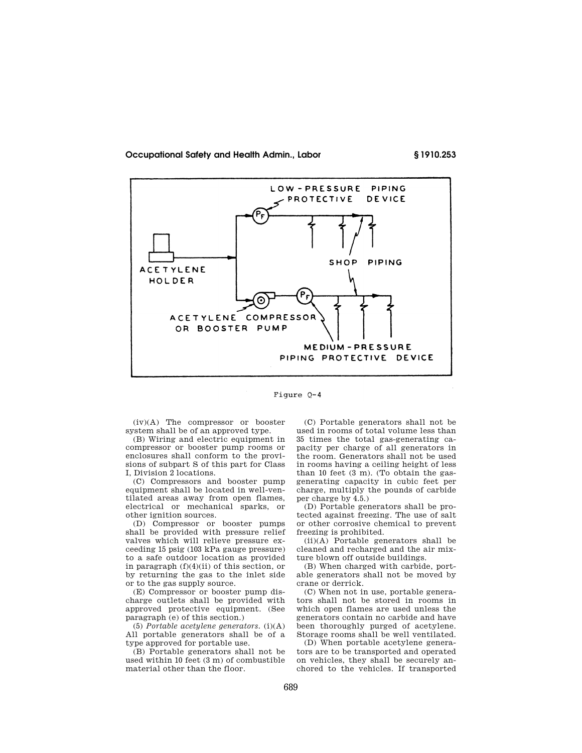

Figure Q-4

(iv)(A) The compressor or booster system shall be of an approved type.

(B) Wiring and electric equipment in compressor or booster pump rooms or enclosures shall conform to the provisions of subpart S of this part for Class I, Division 2 locations.

(C) Compressors and booster pump equipment shall be located in well-ventilated areas away from open flames, electrical or mechanical sparks, or other ignition sources.

(D) Compressor or booster pumps shall be provided with pressure relief valves which will relieve pressure exceeding 15 psig (103 kPa gauge pressure) to a safe outdoor location as provided in paragraph  $(f)(4)(ii)$  of this section, or by returning the gas to the inlet side or to the gas supply source.

(E) Compressor or booster pump discharge outlets shall be provided with approved protective equipment. (See paragraph (e) of this section.)

(5) *Portable acetylene generators.* (i)(A) All portable generators shall be of a type approved for portable use.

(B) Portable generators shall not be used within 10 feet (3 m) of combustible material other than the floor.

(C) Portable generators shall not be used in rooms of total volume less than 35 times the total gas-generating capacity per charge of all generators in the room. Generators shall not be used in rooms having a ceiling height of less than 10 feet (3 m). (To obtain the gasgenerating capacity in cubic feet per charge, multiply the pounds of carbide per charge by 4.5.)

(D) Portable generators shall be protected against freezing. The use of salt or other corrosive chemical to prevent freezing is prohibited.

(ii)(A) Portable generators shall be cleaned and recharged and the air mixture blown off outside buildings.

(B) When charged with carbide, portable generators shall not be moved by crane or derrick.

(C) When not in use, portable generators shall not be stored in rooms in which open flames are used unless the generators contain no carbide and have been thoroughly purged of acetylene. Storage rooms shall be well ventilated.

(D) When portable acetylene generators are to be transported and operated on vehicles, they shall be securely anchored to the vehicles. If transported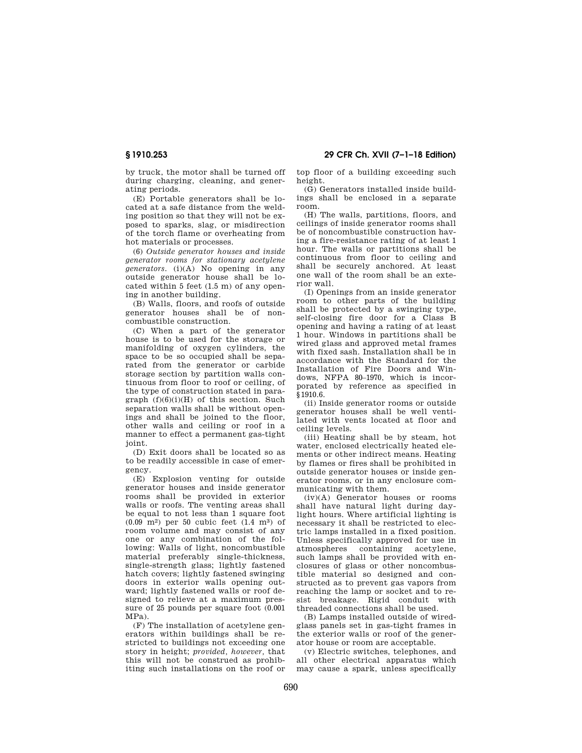**§ 1910.253 29 CFR Ch. XVII (7–1–18 Edition)** 

by truck, the motor shall be turned off during charging, cleaning, and generating periods.

(E) Portable generators shall be located at a safe distance from the welding position so that they will not be exposed to sparks, slag, or misdirection of the torch flame or overheating from hot materials or processes.

(6) *Outside generator houses and inside generator rooms for stationary acetylene generators.* (i)(A) No opening in any outside generator house shall be located within 5 feet (1.5 m) of any opening in another building.

(B) Walls, floors, and roofs of outside generator houses shall be of noncombustible construction.

(C) When a part of the generator house is to be used for the storage or manifolding of oxygen cylinders, the space to be so occupied shall be separated from the generator or carbide storage section by partition walls continuous from floor to roof or ceiling, of the type of construction stated in paragraph  $(f)(6)(i)(H)$  of this section. Such separation walls shall be without openings and shall be joined to the floor, other walls and ceiling or roof in a manner to effect a permanent gas-tight joint.

(D) Exit doors shall be located so as to be readily accessible in case of emergency.

(E) Explosion venting for outside generator houses and inside generator rooms shall be provided in exterior walls or roofs. The venting areas shall be equal to not less than 1 square foot  $(0.09 \text{ m}^2)$  per 50 cubic feet  $(1.4 \text{ m}^3)$  of room volume and may consist of any one or any combination of the following: Walls of light, noncombustible material preferably single-thickness, single-strength glass; lightly fastened hatch covers; lightly fastened swinging doors in exterior walls opening outward; lightly fastened walls or roof designed to relieve at a maximum pressure of 25 pounds per square foot (0.001 MPa).

(F) The installation of acetylene generators within buildings shall be restricted to buildings not exceeding one story in height; *provided, however,* that this will not be construed as prohibiting such installations on the roof or top floor of a building exceeding such height.

(G) Generators installed inside buildings shall be enclosed in a separate room.

(H) The walls, partitions, floors, and ceilings of inside generator rooms shall be of noncombustible construction having a fire-resistance rating of at least 1 hour. The walls or partitions shall be continuous from floor to ceiling and shall be securely anchored. At least one wall of the room shall be an exterior wall.

(I) Openings from an inside generator room to other parts of the building shall be protected by a swinging type, self-closing fire door for a Class B opening and having a rating of at least 1 hour. Windows in partitions shall be wired glass and approved metal frames with fixed sash. Installation shall be in accordance with the Standard for the Installation of Fire Doors and Windows, NFPA 80–1970, which is incorporated by reference as specified in §1910.6.

(ii) Inside generator rooms or outside generator houses shall be well ventilated with vents located at floor and ceiling levels.

(iii) Heating shall be by steam, hot water, enclosed electrically heated elements or other indirect means. Heating by flames or fires shall be prohibited in outside generator houses or inside generator rooms, or in any enclosure communicating with them.

(iv)(A) Generator houses or rooms shall have natural light during daylight hours. Where artificial lighting is necessary it shall be restricted to electric lamps installed in a fixed position. Unless specifically approved for use in<br>atmospheres containing acetylene. containing acetylene, such lamps shall be provided with enclosures of glass or other noncombustible material so designed and constructed as to prevent gas vapors from reaching the lamp or socket and to resist breakage. Rigid conduit with threaded connections shall be used.

(B) Lamps installed outside of wiredglass panels set in gas-tight frames in the exterior walls or roof of the generator house or room are acceptable.

(v) Electric switches, telephones, and all other electrical apparatus which may cause a spark, unless specifically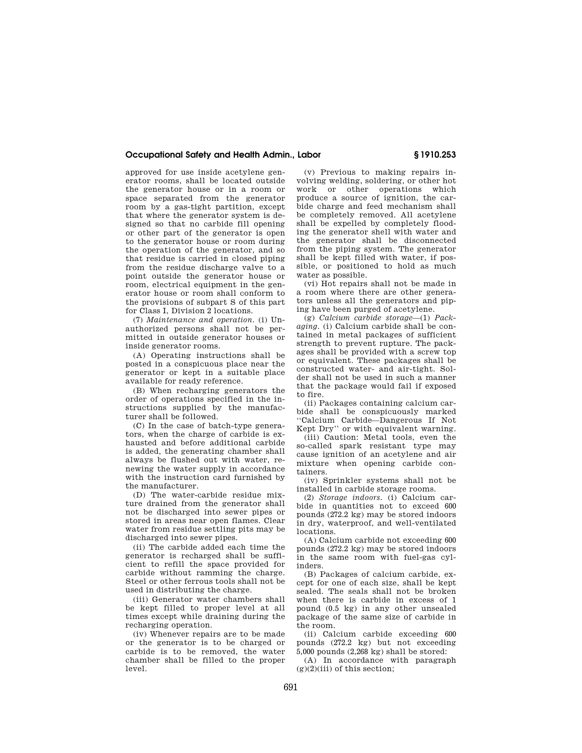approved for use inside acetylene generator rooms, shall be located outside the generator house or in a room or space separated from the generator room by a gas-tight partition, except that where the generator system is designed so that no carbide fill opening or other part of the generator is open to the generator house or room during the operation of the generator, and so that residue is carried in closed piping from the residue discharge valve to a point outside the generator house or room, electrical equipment in the generator house or room shall conform to the provisions of subpart S of this part for Class I, Division 2 locations.

(7) *Maintenance and operation.* (i) Unauthorized persons shall not be permitted in outside generator houses or inside generator rooms.

(A) Operating instructions shall be posted in a conspicuous place near the generator or kept in a suitable place available for ready reference.

(B) When recharging generators the order of operations specified in the instructions supplied by the manufacturer shall be followed.

(C) In the case of batch-type generators, when the charge of carbide is exhausted and before additional carbide is added, the generating chamber shall always be flushed out with water, renewing the water supply in accordance with the instruction card furnished by the manufacturer.

(D) The water-carbide residue mixture drained from the generator shall not be discharged into sewer pipes or stored in areas near open flames. Clear water from residue settling pits may be discharged into sewer pipes.

(ii) The carbide added each time the generator is recharged shall be sufficient to refill the space provided for carbide without ramming the charge. Steel or other ferrous tools shall not be used in distributing the charge.

(iii) Generator water chambers shall be kept filled to proper level at all times except while draining during the recharging operation.

(iv) Whenever repairs are to be made or the generator is to be charged or carbide is to be removed, the water chamber shall be filled to the proper level.

(v) Previous to making repairs involving welding, soldering, or other hot work or other operations which produce a source of ignition, the carbide charge and feed mechanism shall be completely removed. All acetylene shall be expelled by completely flooding the generator shell with water and the generator shall be disconnected from the piping system. The generator shall be kept filled with water, if possible, or positioned to hold as much water as possible.

(vi) Hot repairs shall not be made in a room where there are other generators unless all the generators and piping have been purged of acetylene.

(g) *Calcium carbide storage*—(1) *Packaging.* (i) Calcium carbide shall be contained in metal packages of sufficient strength to prevent rupture. The packages shall be provided with a screw top or equivalent. These packages shall be constructed water- and air-tight. Solder shall not be used in such a manner that the package would fail if exposed to fire.

(ii) Packages containing calcium carbide shall be conspicuously marked ''Calcium Carbide—Dangerous If Not Kept Dry'' or with equivalent warning.

(iii) Caution: Metal tools, even the so-called spark resistant type may cause ignition of an acetylene and air mixture when opening carbide containers.

(iv) Sprinkler systems shall not be installed in carbide storage rooms.

(2) *Storage indoors.* (i) Calcium carbide in quantities not to exceed 600 pounds (272.2 kg) may be stored indoors in dry, waterproof, and well-ventilated locations.

(A) Calcium carbide not exceeding 600 pounds (272.2 kg) may be stored indoors in the same room with fuel-gas cylinders.

(B) Packages of calcium carbide, except for one of each size, shall be kept sealed. The seals shall not be broken when there is carbide in excess of 1 pound (0.5 kg) in any other unsealed package of the same size of carbide in the room.

(ii) Calcium carbide exceeding 600 pounds (272.2 kg) but not exceeding 5,000 pounds (2,268 kg) shall be stored:

(A) In accordance with paragraph  $(g)(2)(iii)$  of this section: